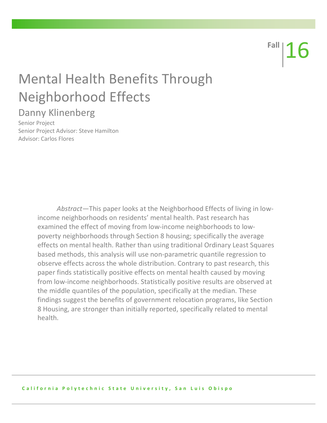**Fall** 16

# **Mental Health Benefits Through** Neighborhood Effects

# Danny Klinenberg

Senior Project Senior Project Advisor: Steve Hamilton Advisor: Carlos Flores

> *Abstract*—This paper looks at the Neighborhood Effects of living in lowincome neighborhoods on residents' mental health. Past research has examined the effect of moving from low-income neighborhoods to lowpoverty neighborhoods through Section 8 housing; specifically the average effects on mental health. Rather than using traditional Ordinary Least Squares based methods, this analysis will use non-parametric quantile regression to observe effects across the whole distribution. Contrary to past research, this paper finds statistically positive effects on mental health caused by moving from low-income neighborhoods. Statistically positive results are observed at the middle quantiles of the population, specifically at the median. These findings suggest the benefits of government relocation programs, like Section 8 Housing, are stronger than initially reported, specifically related to mental health.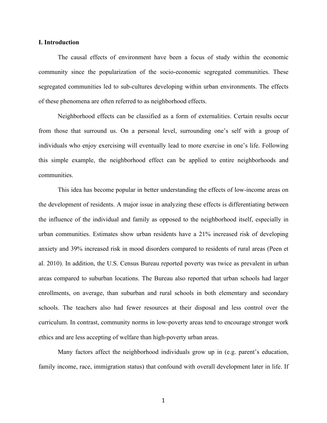#### **I. Introduction**

The causal effects of environment have been a focus of study within the economic community since the popularization of the socio-economic segregated communities. These segregated communities led to sub-cultures developing within urban environments. The effects of these phenomena are often referred to as neighborhood effects.

Neighborhood effects can be classified as a form of externalities. Certain results occur from those that surround us. On a personal level, surrounding one's self with a group of individuals who enjoy exercising will eventually lead to more exercise in one's life. Following this simple example, the neighborhood effect can be applied to entire neighborhoods and communities.

This idea has become popular in better understanding the effects of low-income areas on the development of residents. A major issue in analyzing these effects is differentiating between the influence of the individual and family as opposed to the neighborhood itself, especially in urban communities. Estimates show urban residents have a 21% increased risk of developing anxiety and 39% increased risk in mood disorders compared to residents of rural areas (Peen et al. 2010). In addition, the U.S. Census Bureau reported poverty was twice as prevalent in urban areas compared to suburban locations. The Bureau also reported that urban schools had larger enrollments, on average, than suburban and rural schools in both elementary and secondary schools. The teachers also had fewer resources at their disposal and less control over the curriculum. In contrast, community norms in low-poverty areas tend to encourage stronger work ethics and are less accepting of welfare than high-poverty urban areas.

Many factors affect the neighborhood individuals grow up in (e.g. parent's education, family income, race, immigration status) that confound with overall development later in life. If

1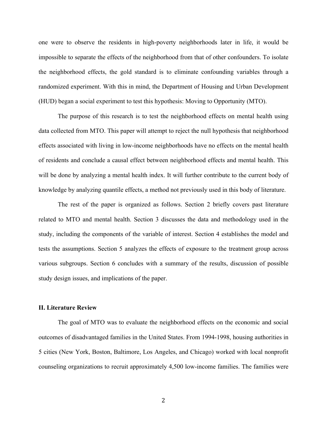one were to observe the residents in high-poverty neighborhoods later in life, it would be impossible to separate the effects of the neighborhood from that of other confounders. To isolate the neighborhood effects, the gold standard is to eliminate confounding variables through a randomized experiment. With this in mind, the Department of Housing and Urban Development (HUD) began a social experiment to test this hypothesis: Moving to Opportunity (MTO).

The purpose of this research is to test the neighborhood effects on mental health using data collected from MTO. This paper will attempt to reject the null hypothesis that neighborhood effects associated with living in low-income neighborhoods have no effects on the mental health of residents and conclude a causal effect between neighborhood effects and mental health. This will be done by analyzing a mental health index. It will further contribute to the current body of knowledge by analyzing quantile effects, a method not previously used in this body of literature.

The rest of the paper is organized as follows. Section 2 briefly covers past literature related to MTO and mental health. Section 3 discusses the data and methodology used in the study, including the components of the variable of interest. Section 4 establishes the model and tests the assumptions. Section 5 analyzes the effects of exposure to the treatment group across various subgroups. Section 6 concludes with a summary of the results, discussion of possible study design issues, and implications of the paper.

#### **II. Literature Review**

The goal of MTO was to evaluate the neighborhood effects on the economic and social outcomes of disadvantaged families in the United States. From 1994-1998, housing authorities in 5 cities (New York, Boston, Baltimore, Los Angeles, and Chicago) worked with local nonprofit counseling organizations to recruit approximately 4,500 low-income families. The families were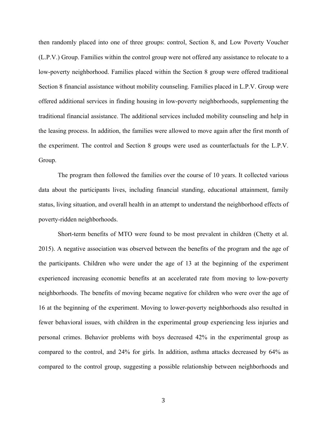then randomly placed into one of three groups: control, Section 8, and Low Poverty Voucher (L.P.V.) Group. Families within the control group were not offered any assistance to relocate to a low-poverty neighborhood. Families placed within the Section 8 group were offered traditional Section 8 financial assistance without mobility counseling. Families placed in L.P.V. Group were offered additional services in finding housing in low-poverty neighborhoods, supplementing the traditional financial assistance. The additional services included mobility counseling and help in the leasing process. In addition, the families were allowed to move again after the first month of the experiment. The control and Section 8 groups were used as counterfactuals for the L.P.V. Group.

The program then followed the families over the course of 10 years. It collected various data about the participants lives, including financial standing, educational attainment, family status, living situation, and overall health in an attempt to understand the neighborhood effects of poverty-ridden neighborhoods.

Short-term benefits of MTO were found to be most prevalent in children (Chetty et al. 2015). A negative association was observed between the benefits of the program and the age of the participants. Children who were under the age of 13 at the beginning of the experiment experienced increasing economic benefits at an accelerated rate from moving to low-poverty neighborhoods. The benefits of moving became negative for children who were over the age of 16 at the beginning of the experiment. Moving to lower-poverty neighborhoods also resulted in fewer behavioral issues, with children in the experimental group experiencing less injuries and personal crimes. Behavior problems with boys decreased 42% in the experimental group as compared to the control, and 24% for girls. In addition, asthma attacks decreased by 64% as compared to the control group, suggesting a possible relationship between neighborhoods and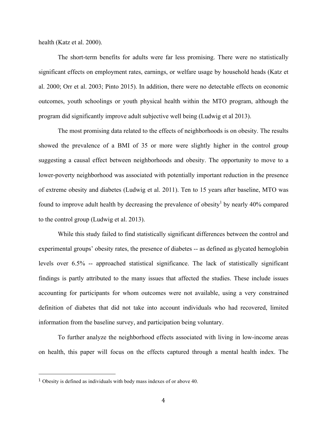health (Katz et al. 2000).

The short-term benefits for adults were far less promising. There were no statistically significant effects on employment rates, earnings, or welfare usage by household heads (Katz et al. 2000; Orr et al. 2003; Pinto 2015). In addition, there were no detectable effects on economic outcomes, youth schoolings or youth physical health within the MTO program, although the program did significantly improve adult subjective well being (Ludwig et al 2013).

The most promising data related to the effects of neighborhoods is on obesity. The results showed the prevalence of a BMI of 35 or more were slightly higher in the control group suggesting a causal effect between neighborhoods and obesity. The opportunity to move to a lower-poverty neighborhood was associated with potentially important reduction in the presence of extreme obesity and diabetes (Ludwig et al. 2011). Ten to 15 years after baseline, MTO was found to improve adult health by decreasing the prevalence of obesity<sup>1</sup> by nearly 40% compared to the control group (Ludwig et al. 2013).

While this study failed to find statistically significant differences between the control and experimental groups' obesity rates, the presence of diabetes -- as defined as glycated hemoglobin levels over 6.5% -- approached statistical significance. The lack of statistically significant findings is partly attributed to the many issues that affected the studies. These include issues accounting for participants for whom outcomes were not available, using a very constrained definition of diabetes that did not take into account individuals who had recovered, limited information from the baseline survey, and participation being voluntary.

To further analyze the neighborhood effects associated with living in low-income areas on health, this paper will focus on the effects captured through a mental health index. The

 

<sup>1</sup> Obesity is defined as individuals with body mass indexes of or above 40.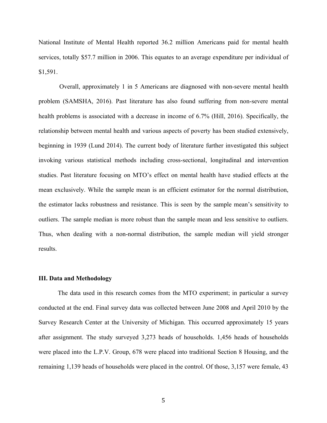National Institute of Mental Health reported 36.2 million Americans paid for mental health services, totally \$57.7 million in 2006. This equates to an average expenditure per individual of \$1,591.

Overall, approximately 1 in 5 Americans are diagnosed with non-severe mental health problem (SAMSHA, 2016). Past literature has also found suffering from non-severe mental health problems is associated with a decrease in income of 6.7% (Hill, 2016). Specifically, the relationship between mental health and various aspects of poverty has been studied extensively, beginning in 1939 (Lund 2014). The current body of literature further investigated this subject invoking various statistical methods including cross-sectional, longitudinal and intervention studies. Past literature focusing on MTO's effect on mental health have studied effects at the mean exclusively. While the sample mean is an efficient estimator for the normal distribution, the estimator lacks robustness and resistance. This is seen by the sample mean's sensitivity to outliers. The sample median is more robust than the sample mean and less sensitive to outliers. Thus, when dealing with a non-normal distribution, the sample median will yield stronger results.

#### **III. Data and Methodology**

The data used in this research comes from the MTO experiment; in particular a survey conducted at the end. Final survey data was collected between June 2008 and April 2010 by the Survey Research Center at the University of Michigan. This occurred approximately 15 years after assignment. The study surveyed 3,273 heads of households. 1,456 heads of households were placed into the L.P.V. Group, 678 were placed into traditional Section 8 Housing, and the remaining 1,139 heads of households were placed in the control. Of those, 3,157 were female, 43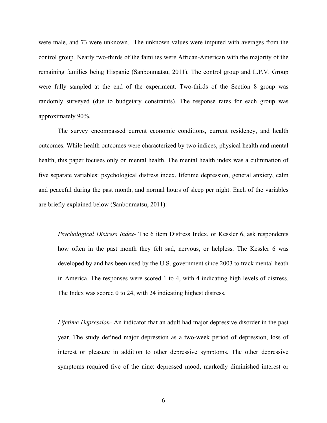were male, and 73 were unknown. The unknown values were imputed with averages from the control group. Nearly two-thirds of the families were African-American with the majority of the remaining families being Hispanic (Sanbonmatsu, 2011). The control group and L.P.V. Group were fully sampled at the end of the experiment. Two-thirds of the Section 8 group was randomly surveyed (due to budgetary constraints). The response rates for each group was approximately 90%.

The survey encompassed current economic conditions, current residency, and health outcomes. While health outcomes were characterized by two indices, physical health and mental health, this paper focuses only on mental health. The mental health index was a culmination of five separate variables: psychological distress index, lifetime depression, general anxiety, calm and peaceful during the past month, and normal hours of sleep per night. Each of the variables are briefly explained below (Sanbonmatsu, 2011):

*Psychological Distress Index-* The 6 item Distress Index, or Kessler 6, ask respondents how often in the past month they felt sad, nervous, or helpless. The Kessler 6 was developed by and has been used by the U.S. government since 2003 to track mental heath in America. The responses were scored 1 to 4, with 4 indicating high levels of distress. The Index was scored 0 to 24, with 24 indicating highest distress.

*Lifetime Depression-* An indicator that an adult had major depressive disorder in the past year. The study defined major depression as a two-week period of depression, loss of interest or pleasure in addition to other depressive symptoms. The other depressive symptoms required five of the nine: depressed mood, markedly diminished interest or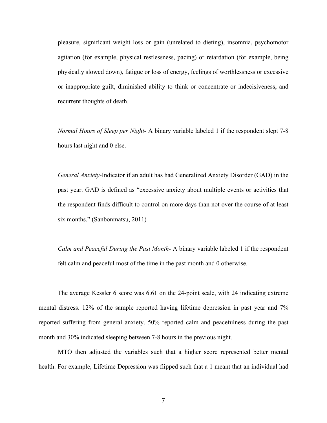pleasure, significant weight loss or gain (unrelated to dieting), insomnia, psychomotor agitation (for example, physical restlessness, pacing) or retardation (for example, being physically slowed down), fatigue or loss of energy, feelings of worthlessness or excessive or inappropriate guilt, diminished ability to think or concentrate or indecisiveness, and recurrent thoughts of death.

*Normal Hours of Sleep per Night-* A binary variable labeled 1 if the respondent slept 7-8 hours last night and 0 else.

*General Anxiety-*Indicator if an adult has had Generalized Anxiety Disorder (GAD) in the past year. GAD is defined as "excessive anxiety about multiple events or activities that the respondent finds difficult to control on more days than not over the course of at least six months." (Sanbonmatsu, 2011)

*Calm and Peaceful During the Past Month-* A binary variable labeled 1 if the respondent felt calm and peaceful most of the time in the past month and 0 otherwise.

The average Kessler 6 score was 6.61 on the 24-point scale, with 24 indicating extreme mental distress. 12% of the sample reported having lifetime depression in past year and 7% reported suffering from general anxiety. 50% reported calm and peacefulness during the past month and 30% indicated sleeping between 7-8 hours in the previous night.

MTO then adjusted the variables such that a higher score represented better mental health. For example, Lifetime Depression was flipped such that a 1 meant that an individual had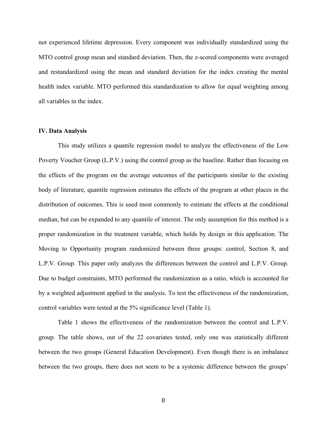not experienced lifetime depression. Every component was individually standardized using the MTO control group mean and standard deviation. Then, the z-scored components were averaged and restandardized using the mean and standard deviation for the index creating the mental health index variable. MTO performed this standardization to allow for equal weighting among all variables in the index.

#### **IV. Data Analysis**

This study utilizes a quantile regression model to analyze the effectiveness of the Low Poverty Voucher Group (L.P.V.) using the control group as the baseline. Rather than focusing on the effects of the program on the average outcomes of the participants similar to the existing body of literature, quantile regression estimates the effects of the program at other places in the distribution of outcomes. This is used most commonly to estimate the effects at the conditional median, but can be expanded to any quantile of interest. The only assumption for this method is a proper randomization in the treatment variable, which holds by design in this application. The Moving to Opportunity program randomized between three groups: control, Section 8, and L.P.V. Group. This paper only analyzes the differences between the control and L.P.V. Group. Due to budget constraints, MTO performed the randomization as a ratio, which is accounted for by a weighted adjustment applied in the analysis. To test the effectiveness of the randomization, control variables were tested at the 5% significance level (Table 1).

Table 1 shows the effectiveness of the randomization between the control and L.P.V. group. The table shows, out of the 22 covariates tested, only one was statistically different between the two groups (General Education Development). Even though there is an imbalance between the two groups, there does not seem to be a systemic difference between the groups'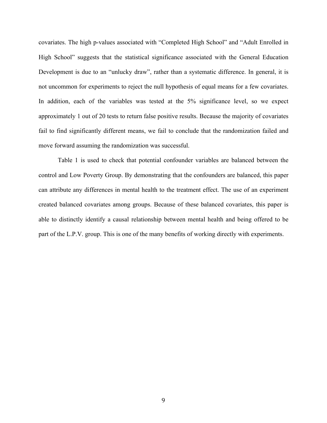covariates. The high p-values associated with "Completed High School" and "Adult Enrolled in High School" suggests that the statistical significance associated with the General Education Development is due to an "unlucky draw", rather than a systematic difference. In general, it is not uncommon for experiments to reject the null hypothesis of equal means for a few covariates. In addition, each of the variables was tested at the 5% significance level, so we expect approximately 1 out of 20 tests to return false positive results. Because the majority of covariates fail to find significantly different means, we fail to conclude that the randomization failed and move forward assuming the randomization was successful.

Table 1 is used to check that potential confounder variables are balanced between the control and Low Poverty Group. By demonstrating that the confounders are balanced, this paper can attribute any differences in mental health to the treatment effect. The use of an experiment created balanced covariates among groups. Because of these balanced covariates, this paper is able to distinctly identify a causal relationship between mental health and being offered to be part of the L.P.V. group. This is one of the many benefits of working directly with experiments.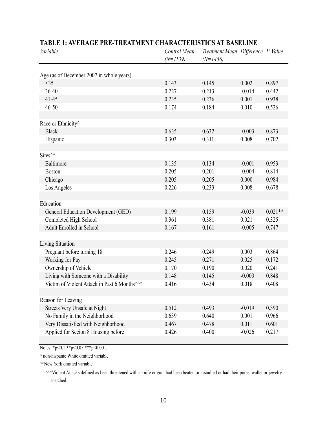| Variable                                                 | Control Mean<br>$(N=1139)$ | Treatment Mean Difference P-Value<br>$(N=1456)$ |          |           |
|----------------------------------------------------------|----------------------------|-------------------------------------------------|----------|-----------|
|                                                          |                            |                                                 |          |           |
| Age (as of December 2007 in whole years)<br><35          | 0.143                      | 0.145                                           | 0.002    | 0.897     |
| 36-40                                                    | 0.227                      | 0.213                                           | $-0.014$ | 0.442     |
| $41 - 45$                                                | 0.235                      | 0.236                                           | 0.001    | 0.938     |
| 46-50                                                    | 0.174                      | 0.184                                           | 0.010    | 0.526     |
|                                                          |                            |                                                 |          |           |
| Race or Ethnicity^                                       |                            |                                                 |          |           |
| <b>Black</b>                                             | 0.635                      | 0.632                                           | $-0.003$ | 0.873     |
| Hispanic                                                 | 0.303                      | 0.311                                           | 0.008    | 0.702     |
|                                                          |                            |                                                 |          |           |
| Sites <sup>^^</sup>                                      |                            |                                                 |          |           |
| Baltimore                                                | 0.135                      | 0.134                                           | $-0.001$ | 0.953     |
| <b>Boston</b>                                            | 0.205                      | 0.201                                           | $-0.004$ | 0.814     |
| Chicago                                                  | 0.205                      | 0.205                                           | 0.000    | 0.984     |
| Los Angeles                                              | 0.226                      | 0.233                                           | 0.008    | 0.678     |
|                                                          |                            |                                                 |          |           |
| Education                                                |                            |                                                 |          |           |
| General Education Development (GED)                      | 0.199                      | 0.159                                           | $-0.039$ | $0.021**$ |
| Completed High School                                    | 0.361                      | 0.381                                           | 0.021    | 0.325     |
| Adult Enrolled in School                                 | 0.167                      | 0.161                                           | $-0.005$ | 0.747     |
|                                                          |                            |                                                 |          |           |
| Living Situation                                         |                            |                                                 |          |           |
| Pregnant before turning 18                               | 0.246                      | 0.249                                           | 0.003    | 0.864     |
| Working for Pay                                          | 0.245                      | 0.271                                           | 0.025    | 0.172     |
| Ownership of Vehicle                                     | 0.170                      | 0.190                                           | 0.020    | 0.241     |
| Living with Someone with a Disability                    | 0.148                      | 0.145                                           | $-0.003$ | 0.848     |
| Victim of Violent Attack in Past 6 Months <sup>^^^</sup> | 0.416                      | 0.434                                           | 0.018    | 0.408     |
|                                                          |                            |                                                 |          |           |
| Reason for Leaving                                       |                            |                                                 |          |           |
| Streets Very Unsafe at Night                             | 0.512                      | 0.493                                           | $-0.019$ | 0.390     |
| No Family in the Neighborhood                            | 0.639                      | 0.640                                           | 0.001    | 0.966     |
| Very Dissatisfied with Neighborhood                      | 0.467                      | 0.478                                           | 0.011    | 0.601     |
| Applied for Secion 8 Housing before                      | 0.426                      | 0.400                                           | $-0.026$ | 0.217     |

# **TABLE 1: AVERAGE PRE-TREATMENT CHARACTERISTICS AT BASELINE**

Notes: \*p<0.1,\*\*p<0.05,\*\*\*p<0.001.

^ non-hispanic White omitted variable

^^New York omitted variable

snatched. ^^^Violent Attacks defined as been threatened with a knife or gun, had been beaten or assaulted or had their purse, wallet or jewelry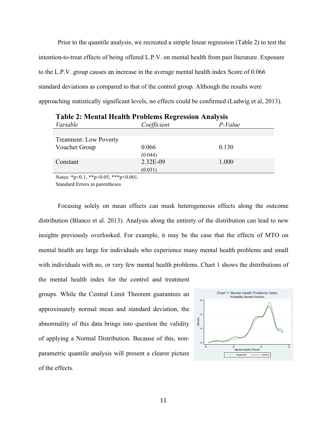Prior to the quantile analysis, we recreated a simple linear regression (Table 2) to test the intention-to-treat effects of being offered L.P.V. on mental health from past literature. Exposure to the L.P.V. group causes an increase in the average mental health index Score of 0.066 standard deviations as compared to that of the control group. Although the results were approaching statistically significant levels, no effects could be confirmed (Ludwig et al, 2013).

| Variable                      | Coefficient | P-Value |
|-------------------------------|-------------|---------|
|                               |             |         |
| <b>Treatment: Low Poverty</b> |             |         |
| Voucher Group                 | 0.066       | 0.130   |
|                               | (0.044)     |         |
| Constant                      | 2.32E-09    | 1.000   |
|                               | (0.031)     |         |

**Table 2: Mental Health Problems Regression Analysis**

Notes:  $*_{p<0.1}$ ,  $*_{p<0.05}$ ,  $*_{p<0.001}$ .

Standard Errors in parentheses

Focusing solely on mean effects can mask heterogeneous effects along the outcome distribution (Blanco et al. 2013). Analysis along the entirety of the distribution can lead to new insights previously overlooked. For example, it may be the case that the effects of MTO on mental health are large for individuals who experience many mental health problems and small with individuals with no, or very few mental health problems. Chart 1 shows the distributions of the mental health index for the control and treatment

groups. While the Central Limit Theorem guarantees an approximately normal mean and standard deviation, the abnormality of this data brings into question the validity of applying a Normal Distribution. Because of this, nonparametric quantile analysis will present a clearer picture of the effects.

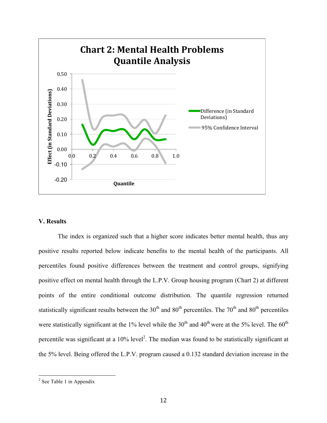

#### **V. Results**

The index is organized such that a higher score indicates better mental health, thus any positive results reported below indicate benefits to the mental health of the participants. All percentiles found positive differences between the treatment and control groups, signifying positive effect on mental health through the L.P.V. Group housing program (Chart 2) at different points of the entire conditional outcome distribution. The quantile regression returned statistically significant results between the 30<sup>th</sup> and 80<sup>th</sup> percentiles. The 70<sup>th</sup> and 80<sup>th</sup> percentiles were statistically significant at the 1% level while the  $30<sup>th</sup>$  and  $40<sup>th</sup>$  were at the 5% level. The  $60<sup>th</sup>$ percentile was significant at a  $10\%$  level<sup>2</sup>. The median was found to be statistically significant at the 5% level. Being offered the L.P.V. program caused a 0.132 standard deviation increase in the

 $2$  See Table 1 in Appendix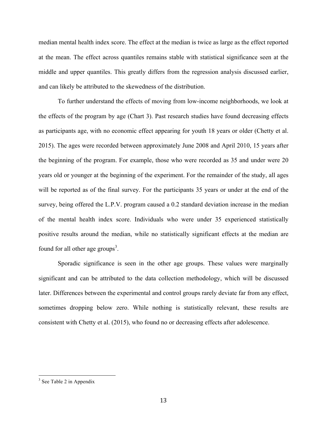median mental health index score. The effect at the median is twice as large as the effect reported at the mean. The effect across quantiles remains stable with statistical significance seen at the middle and upper quantiles. This greatly differs from the regression analysis discussed earlier, and can likely be attributed to the skewedness of the distribution.

To further understand the effects of moving from low-income neighborhoods, we look at the effects of the program by age (Chart 3). Past research studies have found decreasing effects as participants age, with no economic effect appearing for youth 18 years or older (Chetty et al. 2015). The ages were recorded between approximately June 2008 and April 2010, 15 years after the beginning of the program. For example, those who were recorded as 35 and under were 20 years old or younger at the beginning of the experiment. For the remainder of the study, all ages will be reported as of the final survey. For the participants 35 years or under at the end of the survey, being offered the L.P.V. program caused a 0.2 standard deviation increase in the median of the mental health index score. Individuals who were under 35 experienced statistically positive results around the median, while no statistically significant effects at the median are found for all other age groups<sup>3</sup>.

Sporadic significance is seen in the other age groups. These values were marginally significant and can be attributed to the data collection methodology, which will be discussed later. Differences between the experimental and control groups rarely deviate far from any effect, sometimes dropping below zero. While nothing is statistically relevant, these results are consistent with Chetty et al. (2015), who found no or decreasing effects after adolescence.

 $3$  See Table 2 in Appendix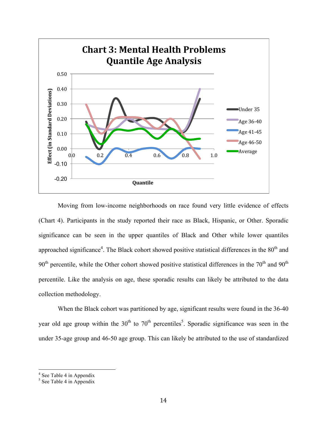

Moving from low-income neighborhoods on race found very little evidence of effects (Chart 4). Participants in the study reported their race as Black, Hispanic, or Other. Sporadic significance can be seen in the upper quantiles of Black and Other while lower quantiles approached significance<sup>4</sup>. The Black cohort showed positive statistical differences in the  $80<sup>th</sup>$  and  $90<sup>th</sup>$  percentile, while the Other cohort showed positive statistical differences in the  $70<sup>th</sup>$  and  $90<sup>th</sup>$ percentile. Like the analysis on age, these sporadic results can likely be attributed to the data collection methodology.

When the Black cohort was partitioned by age, significant results were found in the 36-40 year old age group within the  $30<sup>th</sup>$  to  $70<sup>th</sup>$  percentiles<sup>5</sup>. Sporadic significance was seen in the under 35-age group and 46-50 age group. This can likely be attributed to the use of standardized

 $\frac{4}{4}$  See Table 4 in Appendix

 $<sup>5</sup>$  See Table 4 in Appendix</sup>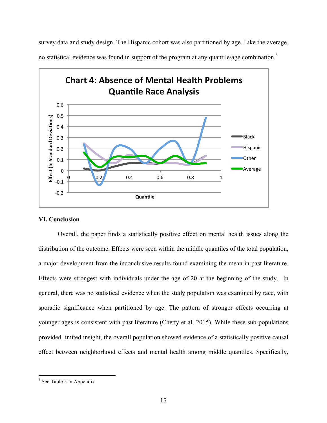survey data and study design. The Hispanic cohort was also partitioned by age. Like the average,

no statistical evidence was found in support of the program at any quantile/age combination.<sup>6</sup>



#### **VI. Conclusion**

Overall, the paper finds a statistically positive effect on mental health issues along the distribution of the outcome. Effects were seen within the middle quantiles of the total population, a major development from the inconclusive results found examining the mean in past literature. Effects were strongest with individuals under the age of 20 at the beginning of the study. In general, there was no statistical evidence when the study population was examined by race, with sporadic significance when partitioned by age. The pattern of stronger effects occurring at younger ages is consistent with past literature (Chetty et al. 2015). While these sub-populations provided limited insight, the overall population showed evidence of a statistically positive causal effect between neighborhood effects and mental health among middle quantiles. Specifically,

 $6$  See Table 5 in Appendix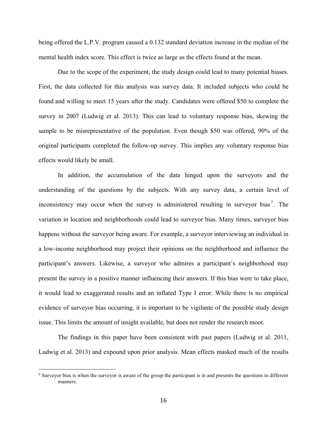being offered the L.P.V. program caused a 0.132 standard deviation increase in the median of the mental health index score. This effect is twice as large as the effects found at the mean.

Due to the scope of the experiment, the study design could lead to many potential biases. First, the data collected for this analysis was survey data. It included subjects who could be found and willing to meet 15 years after the study. Candidates were offered \$50 to complete the survey in 2007 (Ludwig et al. 2013). This can lead to voluntary response bias, skewing the sample to be misrepresentative of the population. Even though \$50 was offered, 90% of the original participants completed the follow-up survey. This implies any voluntary response bias effects would likely be small.

In addition, the accumulation of the data hinged upon the surveyors and the understanding of the questions by the subjects. With any survey data, a certain level of inconsistency may occur when the survey is administered resulting in surveyor bias<sup>7</sup>. The variation in location and neighborhoods could lead to surveyor bias. Many times, surveyor bias happens without the surveyor being aware. For example, a surveyor interviewing an individual in a low-income neighborhood may project their opinions on the neighborhood and influence the participant's answers. Likewise, a surveyor who admires a participant's neighborhood may present the survey in a positive manner influencing their answers. If this bias were to take place, it would lead to exaggerated results and an inflated Type I error. While there is no empirical evidence of surveyor bias occurring, it is important to be vigilante of the possible study design issue. This limits the amount of insight available, but does not render the research moot.

The findings in this paper have been consistent with past papers (Ludwig et al. 2011, Ludwig et al. 2013) and expound upon prior analysis. Mean effects masked much of the results

 

<sup>7</sup> Surveyor bias is when the surveyor is aware of the group the participant is in and presents the questions in different manners.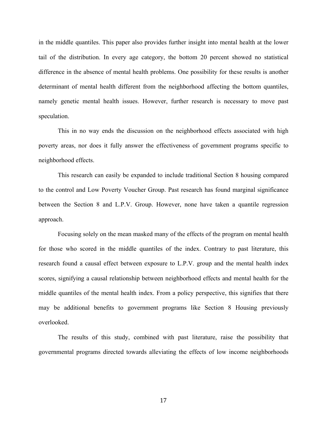in the middle quantiles. This paper also provides further insight into mental health at the lower tail of the distribution. In every age category, the bottom 20 percent showed no statistical difference in the absence of mental health problems. One possibility for these results is another determinant of mental health different from the neighborhood affecting the bottom quantiles, namely genetic mental health issues. However, further research is necessary to move past speculation.

This in no way ends the discussion on the neighborhood effects associated with high poverty areas, nor does it fully answer the effectiveness of government programs specific to neighborhood effects.

This research can easily be expanded to include traditional Section 8 housing compared to the control and Low Poverty Voucher Group. Past research has found marginal significance between the Section 8 and L.P.V. Group. However, none have taken a quantile regression approach.

Focusing solely on the mean masked many of the effects of the program on mental health for those who scored in the middle quantiles of the index. Contrary to past literature, this research found a causal effect between exposure to L.P.V. group and the mental health index scores, signifying a causal relationship between neighborhood effects and mental health for the middle quantiles of the mental health index. From a policy perspective, this signifies that there may be additional benefits to government programs like Section 8 Housing previously overlooked.

The results of this study, combined with past literature, raise the possibility that governmental programs directed towards alleviating the effects of low income neighborhoods

17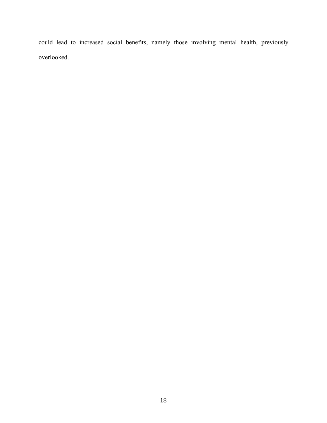could lead to increased social benefits, namely those involving mental health, previously overlooked.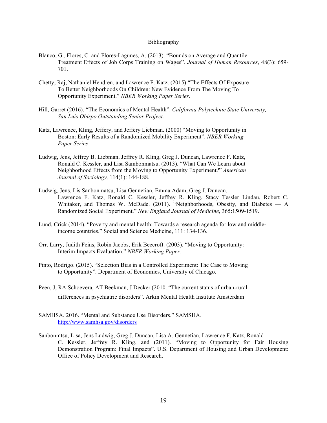#### Bibliography

- Blanco, G., Flores, C. and Flores-Lagunes, A. (2013). "Bounds on Average and Quantile Treatment Effects of Job Corps Training on Wages". *Journal of Human Resources*, 48(3): 659- 701.
- Chetty, Raj, Nathaniel Hendren, and Lawrence F. Katz. (2015) "The Effects Of Exposure To Better Neighborhoods On Children: New Evidence From The Moving To Opportunity Experiment." *NBER Working Paper Series*.
- Hill, Garret (2016). "The Economics of Mental Health". *California Polytechnic State University, San Luis Obispo Outstanding Senior Project.*
- Katz, Lawrence, Kling, Jeffery, and Jeffery Liebman. (2000) "Moving to Opportunity in Boston: Early Results of a Randomized Mobility Experiment". *NBER Working Paper Series*
- Ludwig, Jens, Jeffrey B. Liebman, Jeffrey R. Kling, Greg J. Duncan, Lawrence F. Katz, Ronald C. Kessler, and Lisa Sambonmatsu. (2013). "What Can We Learn about Neighborhood Effects from the Moving to Opportunity Experiment?" *American Journal of Sociology,* 114(1): 144-188.
- Ludwig, Jens, Lis Sanbonmatsu, Lisa Gennetian, Emma Adam, Greg J. Duncan, Lawrence F. Katz, Ronald C. Kessler, Jeffrey R. Kling, Stacy Tessler Lindau, Robert C. Whitaker, and Thomas W. McDade. (2011). "Neighborhoods, Obesity, and Diabetes — A Randomized Social Experiment." *New England Journal of Medicine*, 365:1509-1519.
- Lund, Crick (2014). "Poverty and mental health: Towards a research agenda for low and middleincome countries." Social and Science Medicine, 111: 134-136.
- Orr, Larry, Judith Feins, Robin Jacobs, Erik Beecroft. (2003). "Moving to Opportunity: Interim Impacts Evaluation." *NBER Working Paper.*
- Pinto, Rodrigo. (2015). "Selection Bias in a Controlled Experiment: The Case to Moving to Opportunity". Department of Economics, University of Chicago.
- Peen, J, RA Schoevera, AT Beekman, J Decker (2010. "The current status of urban-rural differences in psychiatric disorders". Arkin Mental Health Institute Amsterdam
- SAMHSA. 2016. "Mental and Substance Use Disorders." SAMSHA. http://www.samhsa.gov/disorders
- Sanbonmtsu, Lisa, Jens Ludwig, Greg J. Duncan, Lisa A. Gennetian, Lawrence F. Katz, Ronald C. Kessler, Jeffrey R. Kling, and (2011). "Moving to Opportunity for Fair Housing Demonstration Program: Final Impacts". U.S. Department of Housing and Urban Development: Office of Policy Development and Research.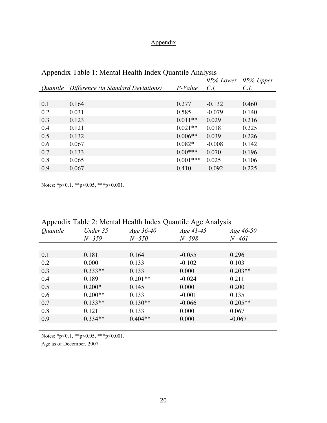# Appendix

| . .             |                                     |            | 95% Lower | 95% Upper |
|-----------------|-------------------------------------|------------|-----------|-----------|
| <i>Ouantile</i> | Difference (in Standard Deviations) | $P-Value$  | C.I       | C.I.      |
|                 |                                     |            |           |           |
| 0.1             | 0.164                               | 0.277      | $-0.132$  | 0.460     |
| 0.2             | 0.031                               | 0.585      | $-0.079$  | 0.140     |
| 0.3             | 0.123                               | $0.011**$  | 0.029     | 0.216     |
| 0.4             | 0.121                               | $0.021**$  | 0.018     | 0.225     |
| 0.5             | 0.132                               | $0.006**$  | 0.039     | 0.226     |
| 0.6             | 0.067                               | $0.082*$   | $-0.008$  | 0.142     |
| 0.7             | 0.133                               | $0.00***$  | 0.070     | 0.196     |
| 0.8             | 0.065                               | $0.001***$ | 0.025     | 0.106     |
| 0.9             | 0.067                               | 0.410      | $-0.092$  | 0.225     |
|                 |                                     |            |           |           |

# Appendix Table 1: Mental Health Index Quantile Analysis

Notes: \*p<0.1, \*\*p<0.05, \*\*\*p<0.001.

# Appendix Table 2: Mental Health Index Quantile Age Analysis

| Quantile | Under 35<br>$N = 359$ | Age 36-40<br>$N = 550$ | Age 41-45<br>$N = 598$ | Age $46-50$<br>$N = 461$ |
|----------|-----------------------|------------------------|------------------------|--------------------------|
|          |                       |                        |                        |                          |
| 0.1      | 0.181                 | 0.164                  | $-0.055$               | 0.296                    |
| 0.2      | 0.000                 | 0.133                  | $-0.102$               | 0.103                    |
| 0.3      | $0.333**$             | 0.133                  | 0.000                  | $0.203**$                |
| 0.4      | 0.189                 | $0.201**$              | $-0.024$               | 0.211                    |
| 0.5      | $0.200*$              | 0.145                  | 0.000                  | 0.200                    |
| 0.6      | $0.200**$             | 0.133                  | $-0.001$               | 0.135                    |
| 0.7      | $0.133**$             | $0.130**$              | $-0.066$               | $0.205**$                |
| 0.8      | 0.121                 | 0.133                  | 0.000                  | 0.067                    |
| 0.9      | $0.334**$             | $0.404**$              | 0.000                  | $-0.067$                 |
|          |                       |                        |                        |                          |

Notes: \*p<0.1, \*\*p<0.05, \*\*\*p<0.001.

Age as of December, 2007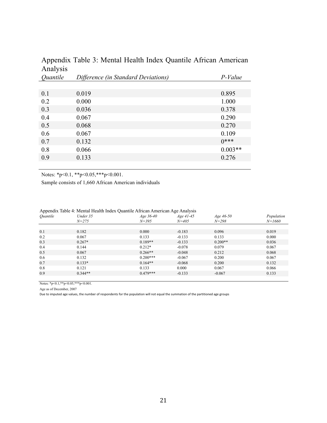| $\frac{1}{2}$ struct $\frac{1}{2}$ |                                     |           |
|------------------------------------|-------------------------------------|-----------|
| Quantile                           | Difference (in Standard Deviations) | P-Value   |
|                                    |                                     |           |
| 0.1                                | 0.019                               | 0.895     |
| 0.2                                | 0.000                               | 1.000     |
| 0.3                                | 0.036                               | 0.378     |
| 0.4                                | 0.067                               | 0.290     |
| 0.5                                | 0.068                               | 0.270     |
| 0.6                                | 0.067                               | 0.109     |
| 0.7                                | 0.132                               | $0***$    |
| 0.8                                | 0.066                               | $0.003**$ |
| 0.9                                | 0.133                               | 0.276     |
|                                    |                                     |           |

# Appendix Table 3: Mental Health Index Quantile African American Analysis

Notes: \*p<0.1, \*\*p<0.05, \*\*\*p<0.001.

Sample consists of 1,660 African American individuals

| Quantile | Under 35  | Age $36-40$ | $Age\,41-45$ | Age $46-50$ | Population |
|----------|-----------|-------------|--------------|-------------|------------|
|          | $N = 275$ | $N = 395$   | $N = 405$    | $N = 298$   | $N = 1660$ |
|          |           |             |              |             |            |
| 0.1      | 0.182     | 0.000       | $-0.183$     | 0.096       | 0.019      |
| 0.2      | 0.067     | 0.133       | $-0.133$     | 0.133       | 0.000      |
| 0.3      | $0.267*$  | $0.189**$   | $-0.133$     | $0.200**$   | 0.036      |
| 0.4      | 0.144     | $0.212*$    | $-0.078$     | 0.079       | 0.067      |
| 0.5      | 0.067     | $0.266**$   | $-0.048$     | 0.212       | 0.068      |
| 0.6      | 0.132     | $0.200***$  | $-0.067$     | 0.200       | 0.067      |
| 0.7      | $0.133*$  | $0.164**$   | $-0.068$     | 0.200       | 0.132      |
| 0.8      | 0.121     | 0.133       | 0.000        | 0.067       | 0.066      |
| 0.9      | $0.344**$ | $0.479***$  | $-0.133$     | $-0.067$    | 0.133      |
|          |           |             |              |             |            |

|  | Appendix Table 4: Mental Health Index Quantile African American Age Analysis |
|--|------------------------------------------------------------------------------|
|  |                                                                              |
|  |                                                                              |
|  |                                                                              |

Notes: \*p<0.1,\*\*p<0.05,\*\*\*p<0.001.

Age as of December, 2007

Due to imputed age values, the number of respondents for the population will not equal the summation of the partitioned age groups